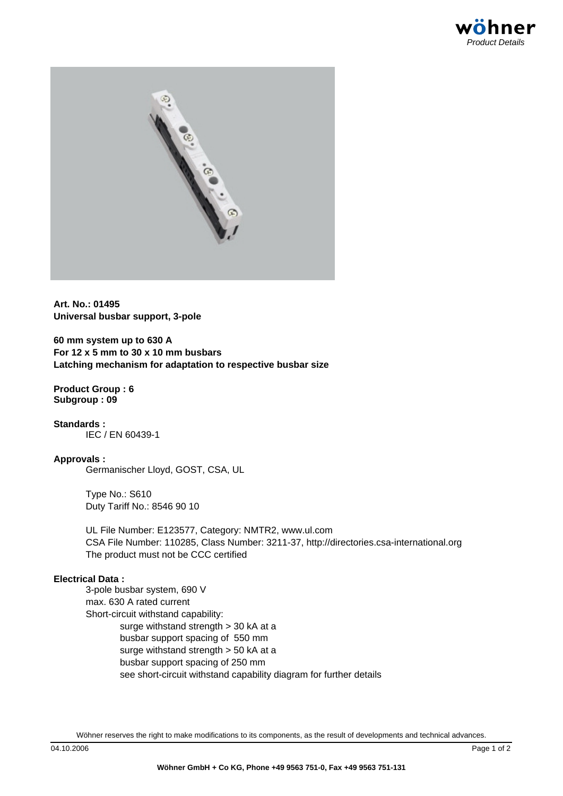

**Art. No.: 01495 Universal busbar support, 3-pole**

**60 mm system up to 630 A For 12 x 5 mm to 30 x 10 mm busbars Latching mechanism for adaptation to respective busbar size**

**Product Group : 6 Subgroup : 09**

**Standards :** IEC / EN 60439-1

### **Approvals :**

Germanischer Lloyd, GOST, CSA, UL

Type No.: S610 Duty Tariff No.: 8546 90 10

UL File Number: E123577, Category: NMTR2, www.ul.com CSA File Number: 110285, Class Number: 3211-37, http://directories.csa-international.org The product must not be CCC certified

### **Electri[cal Data :](http://database.ul.com/cgi-bin/XYV/template/LISEXT/1FRAME/showpage.html?name=NMTR2.E123577&ccnshorttitle=Power+Circuit+and+Motor-mounted+Apparatus&objid=1073763056&cfgid=1073741824&version=versionless&parent_id=1073762680&sequence=1)**

[3-pole busbar system, 690 V](http://directories.csa-international.org/xml_transform.asp?xml=certxml/110285_0_000-3211-37.xml&xsl=xsl/certrec.xsl) max. 630 A rated current Short-circuit withstand capability: surge withstand strength > 30 kA at a busbar support spacing of 550 mm surge withstand strength > 50 kA at a busbar support spacing of 250 mm see short-circuit withstand capability diagram for further details

Wöhner reserves the right to make modifications to its components, as the result of developments and technical advances.